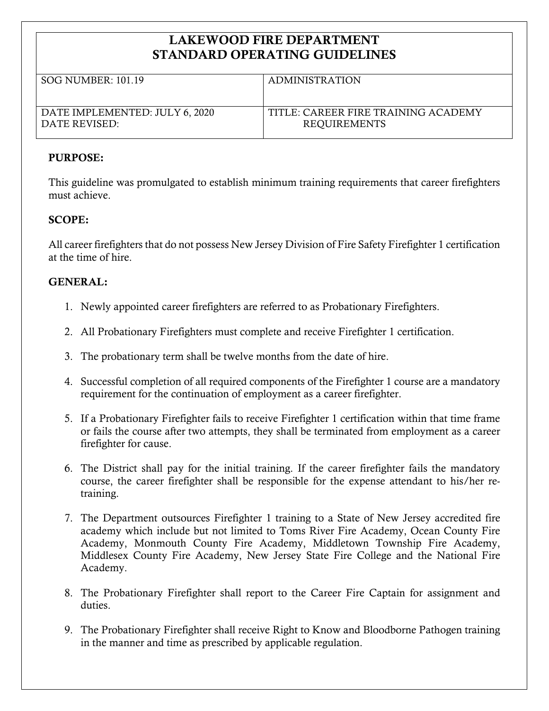# LAKEWOOD FIRE DEPARTMENT STANDARD OPERATING GUIDELINES

| SOG NUMBER: 101.19             | <b>ADMINISTRATION</b>               |
|--------------------------------|-------------------------------------|
|                                |                                     |
|                                |                                     |
|                                |                                     |
|                                |                                     |
| DATE IMPLEMENTED: JULY 6, 2020 | TITLE: CAREER FIRE TRAINING ACADEMY |
| DATE REVISED:                  | <b>REQUIREMENTS</b>                 |
|                                |                                     |
|                                |                                     |

### PURPOSE:

This guideline was promulgated to establish minimum training requirements that career firefighters must achieve.

### SCOPE:

All career firefighters that do not possess New Jersey Division of Fire Safety Firefighter 1 certification at the time of hire.

## GENERAL:

- 1. Newly appointed career firefighters are referred to as Probationary Firefighters.
- 2. All Probationary Firefighters must complete and receive Firefighter 1 certification.
- 3. The probationary term shall be twelve months from the date of hire.
- 4. Successful completion of all required components of the Firefighter 1 course are a mandatory requirement for the continuation of employment as a career firefighter.
- 5. If a Probationary Firefighter fails to receive Firefighter 1 certification within that time frame or fails the course after two attempts, they shall be terminated from employment as a career firefighter for cause.
- 6. The District shall pay for the initial training. If the career firefighter fails the mandatory course, the career firefighter shall be responsible for the expense attendant to his/her retraining.
- 7. The Department outsources Firefighter 1 training to a State of New Jersey accredited fire academy which include but not limited to Toms River Fire Academy, Ocean County Fire Academy, Monmouth County Fire Academy, Middletown Township Fire Academy, Middlesex County Fire Academy, New Jersey State Fire College and the National Fire Academy.
- 8. The Probationary Firefighter shall report to the Career Fire Captain for assignment and duties.
- 9. The Probationary Firefighter shall receive Right to Know and Bloodborne Pathogen training in the manner and time as prescribed by applicable regulation.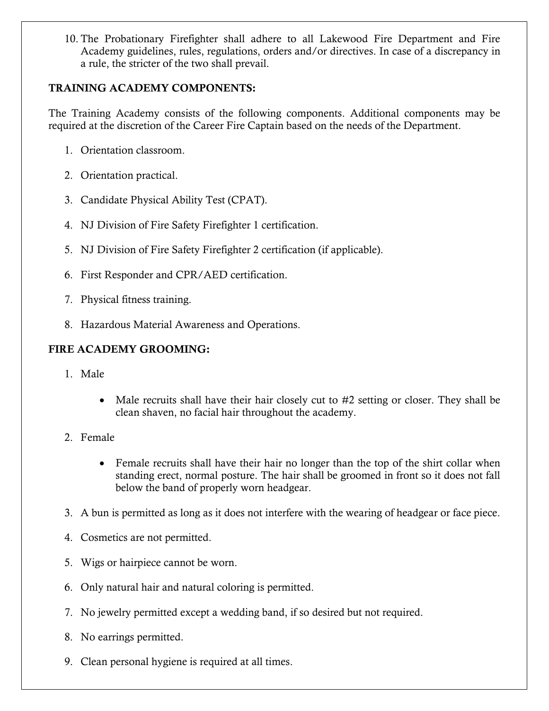10. The Probationary Firefighter shall adhere to all Lakewood Fire Department and Fire Academy guidelines, rules, regulations, orders and/or directives. In case of a discrepancy in a rule, the stricter of the two shall prevail.

### TRAINING ACADEMY COMPONENTS:

The Training Academy consists of the following components. Additional components may be required at the discretion of the Career Fire Captain based on the needs of the Department.

- 1. Orientation classroom.
- 2. Orientation practical.
- 3. Candidate Physical Ability Test (CPAT).
- 4. NJ Division of Fire Safety Firefighter 1 certification.
- 5. NJ Division of Fire Safety Firefighter 2 certification (if applicable).
- 6. First Responder and CPR/AED certification.
- 7. Physical fitness training.
- 8. Hazardous Material Awareness and Operations.

### FIRE ACADEMY GROOMING:

- 1. Male
	- Male recruits shall have their hair closely cut to #2 setting or closer. They shall be clean shaven, no facial hair throughout the academy.
- 2. Female
	- Female recruits shall have their hair no longer than the top of the shirt collar when standing erect, normal posture. The hair shall be groomed in front so it does not fall below the band of properly worn headgear.
- 3. A bun is permitted as long as it does not interfere with the wearing of headgear or face piece.
- 4. Cosmetics are not permitted.
- 5. Wigs or hairpiece cannot be worn.
- 6. Only natural hair and natural coloring is permitted.
- 7. No jewelry permitted except a wedding band, if so desired but not required.
- 8. No earrings permitted.
- 9. Clean personal hygiene is required at all times.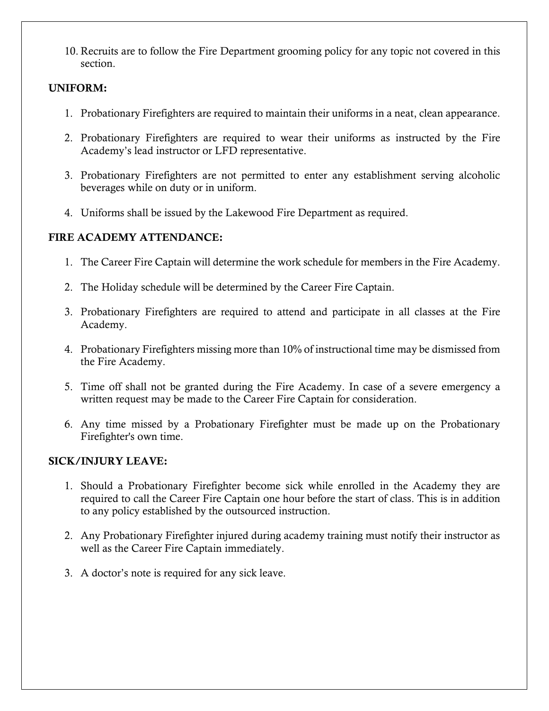10. Recruits are to follow the Fire Department grooming policy for any topic not covered in this section.

### UNIFORM:

- 1. Probationary Firefighters are required to maintain their uniforms in a neat, clean appearance.
- 2. Probationary Firefighters are required to wear their uniforms as instructed by the Fire Academy's lead instructor or LFD representative.
- 3. Probationary Firefighters are not permitted to enter any establishment serving alcoholic beverages while on duty or in uniform.
- 4. Uniforms shall be issued by the Lakewood Fire Department as required.

# FIRE ACADEMY ATTENDANCE:

- 1. The Career Fire Captain will determine the work schedule for members in the Fire Academy.
- 2. The Holiday schedule will be determined by the Career Fire Captain.
- 3. Probationary Firefighters are required to attend and participate in all classes at the Fire Academy.
- 4. Probationary Firefighters missing more than 10% of instructional time may be dismissed from the Fire Academy.
- 5. Time off shall not be granted during the Fire Academy. In case of a severe emergency a written request may be made to the Career Fire Captain for consideration.
- 6. Any time missed by a Probationary Firefighter must be made up on the Probationary Firefighter's own time.

## SICK/INJURY LEAVE:

- 1. Should a Probationary Firefighter become sick while enrolled in the Academy they are required to call the Career Fire Captain one hour before the start of class. This is in addition to any policy established by the outsourced instruction.
- 2. Any Probationary Firefighter injured during academy training must notify their instructor as well as the Career Fire Captain immediately.
- 3. A doctor's note is required for any sick leave.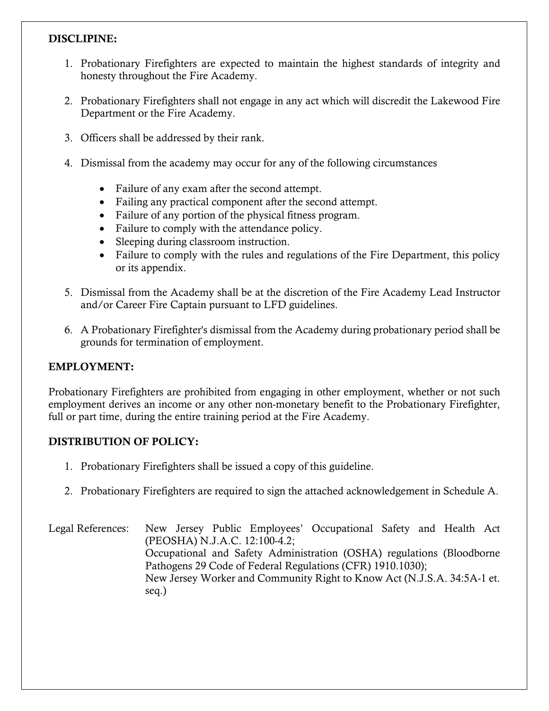### DISCLIPINE:

- 1. Probationary Firefighters are expected to maintain the highest standards of integrity and honesty throughout the Fire Academy.
- 2. Probationary Firefighters shall not engage in any act which will discredit the Lakewood Fire Department or the Fire Academy.
- 3. Officers shall be addressed by their rank.
- 4. Dismissal from the academy may occur for any of the following circumstances
	- Failure of any exam after the second attempt.
	- Failing any practical component after the second attempt.
	- Failure of any portion of the physical fitness program.
	- Failure to comply with the attendance policy.
	- Sleeping during classroom instruction.
	- Failure to comply with the rules and regulations of the Fire Department, this policy or its appendix.
- 5. Dismissal from the Academy shall be at the discretion of the Fire Academy Lead Instructor and/or Career Fire Captain pursuant to LFD guidelines.
- 6. A Probationary Firefighter's dismissal from the Academy during probationary period shall be grounds for termination of employment.

### EMPLOYMENT:

Probationary Firefighters are prohibited from engaging in other employment, whether or not such employment derives an income or any other non-monetary benefit to the Probationary Firefighter, full or part time, during the entire training period at the Fire Academy.

### DISTRIBUTION OF POLICY:

- 1. Probationary Firefighters shall be issued a copy of this guideline.
- 2. Probationary Firefighters are required to sign the attached acknowledgement in Schedule A.

Legal References: New Jersey Public Employees' Occupational Safety and Health Act (PEOSHA) N.J.A.C. 12:100-4.2; Occupational and Safety Administration (OSHA) regulations (Bloodborne Pathogens 29 Code of Federal Regulations (CFR) 1910.1030); New Jersey Worker and Community Right to Know Act (N.J.S.A. 34:5A-1 et. seq.)